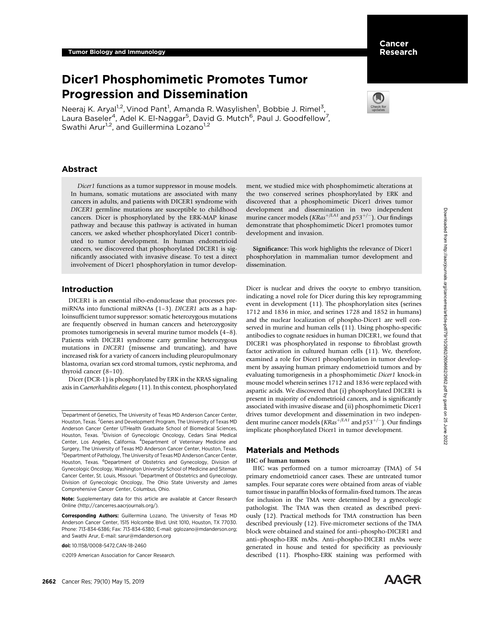# Dicer1 Phosphomimetic Promotes Tumor Progression and Dissemination

Neeraj K. Aryal<sup>1,2</sup>, Vinod Pant<sup>1</sup>, Amanda R. Wasylishen<sup>1</sup>, Bobbie J. Rimel<sup>3</sup>, Laura Baseler<sup>4</sup>, Adel K. El-Naggar<sup>5</sup>, David G. Mutch<sup>6</sup>, Paul J. Goodfellow<sup>7</sup>, Swathi Arur<sup>1,2</sup>, and Guillermina Lozano<sup>1,2</sup>

# Abstract

Dicer1 functions as a tumor suppressor in mouse models. In humans, somatic mutations are associated with many cancers in adults, and patients with DICER1 syndrome with DICER1 germline mutations are susceptible to childhood cancers. Dicer is phosphorylated by the ERK-MAP kinase pathway and because this pathway is activated in human cancers, we asked whether phosphorylated Dicer1 contributed to tumor development. In human endometrioid cancers, we discovered that phosphorylated DICER1 is significantly associated with invasive disease. To test a direct involvement of Dicer1 phosphorylation in tumor develop-

# Introduction

DICER1 is an essential ribo-endonuclease that processes premiRNAs into functional miRNAs (1–3). DICER1 acts as a haploinsufficient tumor suppressor: somatic heterozygous mutations are frequently observed in human cancers and heterozygosity promotes tumorigenesis in several murine tumor models (4–8). Patients with DICER1 syndrome carry germline heterozygous mutations in DICER1 (missense and truncating), and have increased risk for a variety of cancers including pleuropulmonary blastoma, ovarian sex cord stromal tumors, cystic nephroma, and thyroid cancer (8–10).

Dicer (DCR-1) is phosphorylated by ERK in the KRAS signaling axis in Caenorhabditis elegans (11). In this context, phosphorylated

doi: 10.1158/0008-5472.CAN-18-2460

2019 American Association for Cancer Research.

ment, we studied mice with phosphomimetic alterations at the two conserved serines phosphorylated by ERK and discovered that a phosphomimetic Dicer1 drives tumor development and dissemination in two independent murine cancer models ( $KRas^{+/LA1}$  and  $p53^{+/-}$ ). Our findings demonstrate that phosphomimetic Dicer1 promotes tumor development and invasion.

Significance: This work highlights the relevance of Dicer1 phosphorylation in mammalian tumor development and dissemination.

Dicer is nuclear and drives the oocyte to embryo transition, indicating a novel role for Dicer during this key reprogramming event in development (11). The phosphorylation sites (serines 1712 and 1836 in mice, and serines 1728 and 1852 in humans) and the nuclear localization of phospho-Dicer1 are well conserved in murine and human cells (11). Using phospho-specific antibodies to cognate residues in human DICER1, we found that DICER1 was phosphorylated in response to fibroblast growth factor activation in cultured human cells (11). We, therefore, examined a role for Dicer1 phosphorylation in tumor development by assaying human primary endometrioid tumors and by evaluating tumorigenesis in a phosphomimetic Dicer1 knock-in mouse model wherein serines 1712 and 1836 were replaced with aspartic acids. We discovered that (i) phosphorylated DICER1 is present in majority of endometrioid cancers, and is significantly associated with invasive disease and (ii) phosphomimetic Dicer1 drives tumor development and dissemination in two independent murine cancer models ( $KRas^{+/LA1}$  and  $p53^{+/-}$ ). Our findings implicate phosphorylated Dicer1 in tumor development.

# Materials and Methods

#### IHC of human tumors

IHC was performed on a tumor microarray (TMA) of 54 primary endometrioid cancer cases. These are untreated tumor samples. Four separate cores were obtained from areas of viable tumor tissue in paraffin blocks of formalin-fixed tumors. The areas for inclusion in the TMA were determined by a gynecologic pathologist. The TMA was then created as described previously (12). Practical methods for TMA construction has been described previously (12). Five-micrometer sections of the TMA block were obtained and stained for anti–phospho-DICER1 and anti–phospho-ERK mAbs. Anti–phospho-DICER1 mAbs were generated in house and tested for specificity as previously described (11). Phospho-ERK staining was performed with



<sup>&</sup>lt;sup>1</sup>Department of Genetics, The University of Texas MD Anderson Cancer Center, Houston, Texas. <sup>2</sup> Genes and Development Program, The University of Texas MD Anderson Cancer Center UTHealth Graduate School of Biomedical Sciences, Houston, Texas. <sup>3</sup>Division of Gynecologic Oncology, Cedars Sinai Medical Center, Los Angeles, California. <sup>4</sup>Department of Veterinary Medicine and Surgery, The University of Texas MD Anderson Cancer Center, Houston, Texas. 5 Department of Pathology, The University of Texas MD Anderson Cancer Center, Houston, Texas. <sup>6</sup>Department of Obstetrics and Gynecology, Division of Gynecologic Oncology, Washington University School of Medicine and Siteman Cancer Center, St. Louis, Missouri. <sup>7</sup>Department of Obstetrics and Gynecology, Division of Gynecologic Oncology, The Ohio State University and James Comprehensive Cancer Center, Columbus, Ohio.

Note: Supplementary data for this article are available at Cancer Research Online (http://cancerres.aacrjournals.org/).

Corresponding Authors: Guillermina Lozano, The University of Texas MD Anderson Cancer Center, 1515 Holcombe Blvd. Unit 1010, Houston, TX 77030. Phone: 713-834-6386; Fax: 713-834-6380; E-mail: gglozano@mdanderson.org; and Swathi Arur, E-mail: sarur@mdanderson.org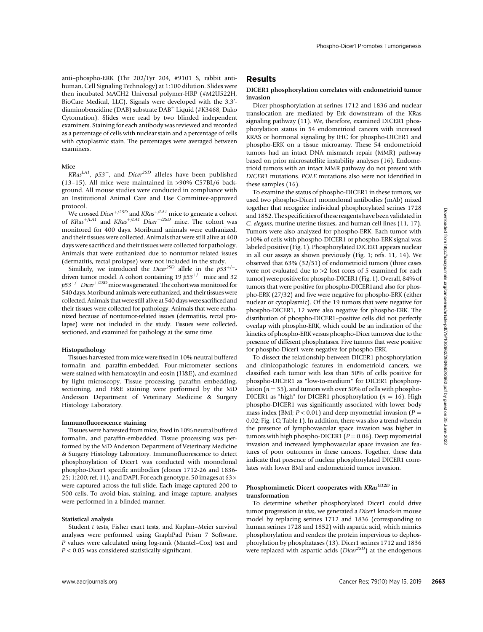anti–phospho-ERK (Thr 202/Tyr 204, #9101 S, rabbit antihuman, Cell Signaling Technology) at 1:100 dilution. Slides were then incubated MACH2 Universal polymer-HRP (#M2U522H, BioCare Medical, LLC). Signals were developed with the 3,3'diaminobenzidine (DAB) substrate  $DAB^+$  Liquid (#K3468, Dako Cytomation). Slides were read by two blinded independent examiners. Staining for each antibody was reviewed and recorded as a percentage of cells with nuclear stain and a percentage of cells with cytoplasmic stain. The percentages were averaged between examiners.

### Mice

KRas<sup>LA1</sup>,  $p53^-$ , and Dicer<sup>2SD</sup> alleles have been published (13–15). All mice were maintained in >90% C57BL/6 background. All mouse studies were conducted in compliance with an Institutional Animal Care and Use Committee-approved protocol.

We crossed Dicer<sup>+/2SD</sup> and  $KRas$ <sup>+/LA1</sup> mice to generate a cohort of  $KRas^{+/LA1}$  and  $KRas^{+/LA1}$  Dicer<sup>+/2SD</sup> mice. The cohort was monitored for 400 days. Moribund animals were euthanized, and their tissues were collected. Animals that were still alive at 400 days were sacrificed and their tissues were collected for pathology. Animals that were euthanized due to nontumor related issues (dermatitis, rectal prolapse) were not included in the study.

Similarly, we introduced the Dicer<sup>2SD</sup> allele in the  $p53^{+/-}$ driven tumor model. A cohort containing 19  $p53^{+/-}$  mice and 32 p53<sup>+/–</sup> Dicer<sup>+/2SD</sup> mice was generated. The cohort was monitored for 540 days.Moribund animals were euthanized, and their tissues were collected. Animals that were still alive at 540 days were sacrificed and their tissues were collected for pathology. Animals that were euthanized because of nontumor-related issues (dermatitis, rectal prolapse) were not included in the study. Tissues were collected, sectioned, and examined for pathology at the same time.

### Histopathology

Tissues harvested from mice were fixed in 10% neutral buffered formalin and paraffin-embedded. Four-micrometer sections were stained with hematoxylin and eosin (H&E), and examined by light microscopy. Tissue processing, paraffin embedding, sectioning, and H&E staining were performed by the MD Anderson Department of Veterinary Medicine & Surgery Histology Laboratory.

### Immunofluorescence staining

Tissues were harvested from mice, fixed in 10% neutral buffered formalin, and paraffin-embedded. Tissue processing was performed by the MD Anderson Department of Veterinary Medicine & Surgery Histology Laboratory. Immunofluorescence to detect phosphorylation of Dicer1 was conducted with monoclonal phospho-Dicer1 specific antibodies (clones 1712-26 and 1836- 25; 1:200; ref. 11), and DAPI. For each genotype, 50 images at  $63\times$ were captured across the full slide. Each image captured 200 to 500 cells. To avoid bias, staining, and image capture, analyses were performed in a blinded manner.

### Statistical analysis

Student t tests, Fisher exact tests, and Kaplan–Meier survival analyses were performed using GraphPad Prism 7 Software. P values were calculated using log-rank (Mantel–Cox) test and  $P < 0.05$  was considered statistically significant.

# Results

### DICER1 phosphorylation correlates with endometrioid tumor invasion

Dicer phosphorylation at serines 1712 and 1836 and nuclear translocation are mediated by Erk downstream of the KRas signaling pathway (11). We, therefore, examined DICER1 phosphorylation status in 54 endometrioid cancers with increased KRAS or hormonal signaling by IHC for phospho-DICER1 and phospho-ERK on a tissue microarray. These 54 endometrioid tumors had an intact DNA mismatch repair (MMR) pathway based on prior microsatellite instability analyses (16). Endometrioid tumors with an intact MMR pathway do not present with DICER1 mutations. POLE mutations also were not identified in these samples (16).

To examine the status of phospho-DICER1 in these tumors, we used two phospho-Dicer1 monoclonal antibodies (mAb) mixed together that recognize individual phosphorylated serines 1728 and 1852. The specificities of these reagents have been validated in C. elegans, murine uterine tissues, and human cell lines (11, 17). Tumors were also analyzed for phospho-ERK. Each tumor with >10% of cells with phospho-DICER1 or phospho-ERK signal was labeled positive (Fig. 1). Phosphorylated DICER1 appears nuclear in all our assays as shown previously (Fig. 1; refs. 11, 14). We observed that 63% (32/51) of endometrioid tumors (three cases were not evaluated due to >2 lost cores of 5 examined for each tumor) were positive for phospho-DICER1 (Fig. 1). Overall, 84% of tumors that were positive for phospho-DICER1and also for phospho-ERK (27/32) and five were negative for phospho-ERK (either nuclear or cytoplasmic). Of the 19 tumors that were negative for phospho-DICER1, 12 were also negative for phospho-ERK. The distribution of phospho-DICER1–positive cells did not perfectly overlap with phospho-ERK, which could be an indication of the kinetics of phospho-ERK versus phospho-Dicer turnover due to the presence of different phosphatases. Five tumors that were positive for phospho-Dicer1 were negative for phospho-ERK. We remote the rest or the the transportation of the state or the state of the cancer Rest 10) May 16, 2019 2663Downloaded in the formula and the state of the state of the state of the state of the state of the state of th

To dissect the relationship between DICER1 phosphorylation and clinicopathologic features in endometrioid cancers, we classified each tumor with less than 50% of cells positive for phospho-DICER1 as "low-to-medium" for DICER1 phosphorylation ( $n = 35$ ), and tumors with over 50% of cells with phospho-DICER1 as "high" for DICER1 phosphorylation ( $n = 16$ ). High phospho-DICER1 was significantly associated with lower body mass index (BMI;  $P < 0.01$ ) and deep myometrial invasion ( $P =$ 0.02; Fig. 1C; Table 1). In addition, there was also a trend wherein the presence of lymphovascular space invasion was higher in tumors with high phospho-DICER1 ( $P = 0.06$ ). Deep myometrial invasion and increased lymphovascular space invasion are features of poor outcomes in these cancers. Together, these data indicate that presence of nuclear phosphorylated DICER1 correlates with lower BMI and endometrioid tumor invasion.

# Phosphomimetic Dicer1 cooperates with KRasG12D in transformation

To determine whether phosphorylated Dicer1 could drive tumor progression in vivo, we generated a Dicer1 knock-in mouse model by replacing serines 1712 and 1836 (corresponding to human serines 1728 and 1852) with aspartic acid, which mimics phosphorylation and renders the protein impervious to dephosphorylation by phosphatases (13). Dicer1 serines 1712 and 1836 were replaced with aspartic acids (Dicer<sup>2SD</sup>) at the endogenous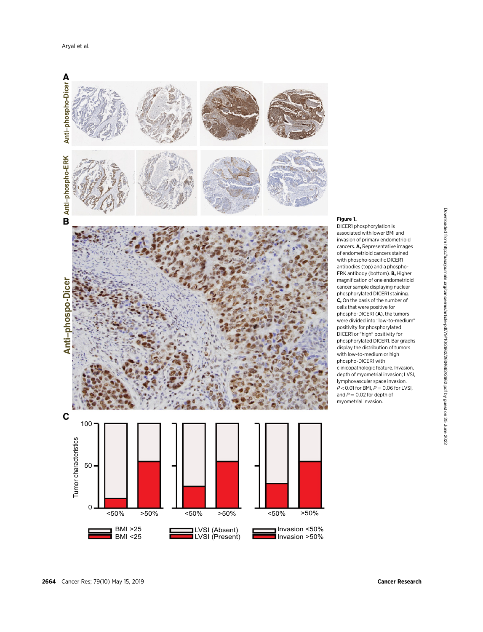

# Figure 1.

DICER1 phosphorylation is associated with lower BMI and invasion of primary endometrioid cancers. A, Representative images of endometrioid cancers stained with phospho-specific DICER1 antibodies (top) and a phospho-ERK antibody (bottom). B, Higher magnification of one endometrioid cancer sample displaying nuclear phosphorylated DICER1 staining. C, On the basis of the number of cells that were positive for phospho-DICER1 (A), the tumors were divided into "low-to-medium" positivity for phosphorylated DICER1 or "high" positivity for phosphorylated DICER1. Bar graphs display the distribution of tumors with low-to-medium or high phospho-DICER1 with clinicopathologic feature. Invasion, depth of myometrial invasion; LVSI, lymphovascular space invasion.  $P < 0.01$  for BMI,  $P = 0.06$  for LVSI, and  $P = 0.02$  for depth of myometrial invasion.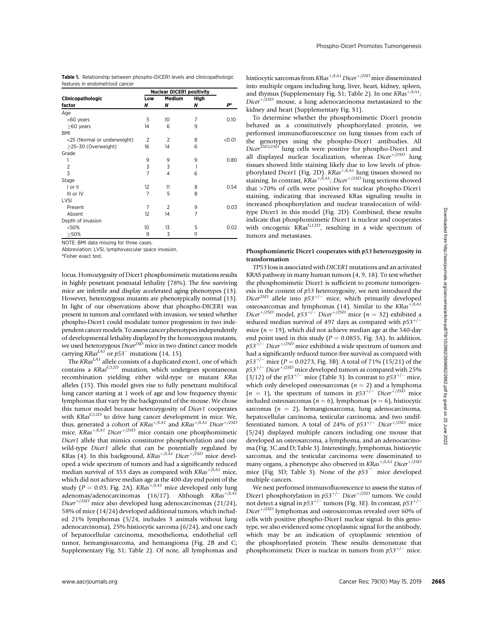| <b>Table 1.</b> Relationship between phospho-DICER1 levels and clinicopathologic |  |  |  |  |
|----------------------------------------------------------------------------------|--|--|--|--|
| features in endometrioid cancer                                                  |  |  |  |  |

|                             | <b>Nuclear DICER1 positivity</b> |                    |           |        |
|-----------------------------|----------------------------------|--------------------|-----------|--------|
| Clinicopathologic           | Low<br>N                         | <b>Medium</b><br>N | High<br>N | рª     |
| factor                      |                                  |                    |           |        |
| Age                         |                                  |                    |           |        |
| <60 years                   | 5                                | 10                 | 7         | 0.10   |
| $\geq$ 60 years             | 14                               | 6                  | 9         |        |
| <b>BMI</b>                  |                                  |                    |           |        |
| <25 (Normal or underweight) | 2                                | $\overline{2}$     | 8         | < 0.01 |
| $\geq$ 25-30 (Overweight)   | 16                               | 14                 | 6         |        |
| Grade                       |                                  |                    |           |        |
| 1                           | 9                                | 9                  | 9         | 0.80   |
| $\overline{2}$              | 3                                | 3                  | 1         |        |
| 3                           | 7                                | 4                  | 6         |        |
| Stage                       |                                  |                    |           |        |
| I or II                     | 12                               | 11                 | 8         | 0.54   |
| III or IV                   | 7                                | 5                  | 8         |        |
| LVSI                        |                                  |                    |           |        |
| Present                     | 7                                | $\overline{2}$     | 9         | 0.03   |
| Absent                      | 12                               | 14                 | 7         |        |
| Depth of invasion           |                                  |                    |           |        |
| < 50%                       | 10                               | 13                 | 5         | 0.02   |
| >50%                        | 9                                | 3                  | 11        |        |

NOTE: BMI data missing for three cases.

Abbreviation: LVSI, lymphovascular space invasion.

<sup>a</sup>Fisher exact test.

locus. Homozygosity of Dicer1 phosphomimetic mutations results in highly penetrant postnatal lethality (78%). The few surviving mice are infertile and display accelerated aging phenotypes (13). However, heterozygous mutants are phenotypically normal (13). In light of our observations above that phospho-DICER1 was present in tumors and correlated with invasion, we tested whether phospho-Dicer1 could modulate tumor progression in two independent cancer models. To assess cancer phenotypes independently of developmental lethality displayed by the homozygous mutants, we used heterozygous Dicer<sup>2SD</sup> mice in two distinct cancer models carrying KRas<sup>LA1</sup> or  $p53$ <sup>-</sup> mutations (14, 15).

The  $KRas^{LA1}$  allele consists of a duplicated exon1, one of which contains a KRas<sup>G12D</sup> mutation, which undergoes spontaneous recombination yielding either wild-type or mutant KRas alleles (15). This model gives rise to fully penetrant multifocal lung cancer starting at 1 week of age and low frequency thymic lymphomas that vary by the background of the mouse. We chose this tumor model because heterozygosity of Dicer1 cooperates with  $KRas^{G12D}$  to drive lung cancer development in mice. We, thus, generated a cohort of  $KRas^{+/LA1}$  and  $KRas^{+/LA1}$  Dicer $^{+/2SD}$ mice.  $KRas^{+/LA1}$  Dicer<sup>+/2SD</sup> mice contain one phosphomimetic Dicer1 allele that mimics constitutive phosphorylation and one wild-type Dicer1 allele that can be potentially regulated by KRas (4). In this background,  $KRas^{+/LA1}$  Dicer $t^{/2SD}$  mice developed a wide spectrum of tumors and had a significantly reduced median survival of 353 days as compared with  $KRas^{+/LA1}$  mice, which did not achieve median age at the 400-day end point of the study ( $P = 0.03$ ; Fig. 2A). KRas<sup>+/LA1</sup> mice developed only lung adenomas/adenocarcinomas (16/17). Although  $KRas^{+/LAI}$ Dicer<sup>+/2SD</sup> mice also developed lung adenocarcinomas (21/24), 58% of mice (14/24) developed additional tumors, which included 21% lymphomas (5/24, includes 3 animals without lung adenocarcinoma), 25% histiocytic sarcoma (6/24), and one each of hepatocellular carcinoma, mesothelioma, endothelial cell tumor, hemangiosarcoma, and hemangioma (Fig. 2B and C; Supplementary Fig. S1; Table 2). Of note, all lymphomas and histiocytic sarcomas from  $KRas^{+/LA1}$  Dicer $^{+/2SD}$  mice disseminated into multiple organs including lung, liver, heart, kidney, spleen, and thymus (Supplementary Fig. S1; Table 2). In one  $KRas^{+/LA1}$ ; Dicer $t^{1/2SD}$  mouse, a lung adenocarcinoma metastasized to the kidney and heart (Supplementary Fig. S1).

To determine whether the phosphomimetic Dicer1 protein behaved as a constitutively phosphorylated protein, we performed immunofluorescence on lung tissues from each of the genotypes using the phospho-Dicer1 antibodies. All  $\overline{D}$ icer<sup>2SD/2SD</sup> lung cells were positive for phospho-Dicer1 and all displayed nuclear localization, whereas  $Discer^{+/2SD}$  lung tissues showed little staining likely due to low levels of phosphorylated Dicer1 (Fig. 2D).  $KRas^{+/LA1}$  lung tissues showed no staining. In contrast, KRas<sup>+/LA1</sup>; Dicer<sup>+/2SD</sup> lung sections showed that >70% of cells were positive for nuclear phospho-Dicer1 staining, indicating that increased KRas signaling results in increased phosphorylation and nuclear translocation of wildtype Dicer1 in this model (Fig. 2D). Combined, these results indicate that phosphomimetic Dicer1 is nuclear and cooperates with oncogenic KRas<sup>G12D</sup>, resulting in a wide spectrum of tumors and metastases.

### Phosphomimetic Dicer1 cooperates with p53 heterozygosity in transformation

TP53 loss is associated with DICER1 mutations and an activated KRAS pathway in many human tumors (4, 9, 18). To test whether the phosphomimetic Dicer1 is sufficient to promote tumorigenesis in the context of p53 heterozygosity, we next introduced the Dicer<sup>2SD</sup> allele into  $p53^{+/-}$  mice, which primarily developed osteosarcomas and lymphomas (14). Similar to the  $KRas<sup>+/LA1</sup>$ Dicer<sup>+/2SD</sup> model, p53<sup>+/-</sup> Dicer<sup>+/2SD</sup> mice (n = 32) exhibited a reduced median survival of 497 days as compared with  $p53^{+/-}$ mice  $(n = 19)$ , which did not achieve median age at the 540-day end point used in this study ( $P = 0.0855$ , Fig. 3A). In addition,  $p53^{+/-}$  Dicer $^{+/2SD}$  mice exhibited a wide spectrum of tumors and had a significantly reduced tumor-free survival as compared with  $p53^{+/-}$  mice (P = 0.0273, Fig. 3B). A total of 71% (15/21) of the  $p53^{+/-}$  Dicer $^{+/2SD}$  mice developed tumors as compared with 25% (3/12) of the  $p53^{+/-}$  mice (Table 3). In contrast to  $p53^{+/-}$  mice, which only developed osteosarcomas ( $n = 2$ ) and a lymphoma  $(n = 1)$ , the spectrum of tumors in  $p53^{+/-}$  Dicer<sup>+/2SD</sup> mice included osteosarcomas ( $n = 6$ ), lymphomas ( $n = 6$ ), histiocytic sarcomas ( $n = 2$ ), hemangiosarcoma, lung adenocarcinoma, hepatocellular carcinoma, testicular carcinoma, and two undifferentiated tumors. A total of 24% of  $p53^{+/-}$  Dicer $\pm$ <sup>12SD</sup> mice (5/24) displayed multiple cancers including one mouse that developed an osteosarcoma, a lymphoma, and an adenocarcinoma (Fig. 3C and D; Table 3). Interestingly, lymphomas, histiocytic sarcomas, and the testicular carcinoma were disseminated to many organs, a phenotype also observed in  $KRas^{+/LA1}$  Dicer $t^{+/2SD}$ mice (Fig. 3D; Table 3). None of the  $p53^{+/-}$  mice developed multiple cancers. words<br>
and the method of the USA of the Cancel Cancel Cancel Cancel Cancel Cancel Cancel Cancel Cancel Cancel Cancel Cancel Cancel Cancel Cancel Cancel Cancel Cancel Cancel Cancel Cancel Cancel Cancel Cancel Cancel Cance

We next performed immunofluorescence to assess the status of Dicer1 phosphorylation in  $p53^{+/-}$  Dicer<sup>+/2SD</sup> tumors. We could not detect a signal in  $p53^{+/-}$  tumors (Fig. 3E). In contrast,  $p53^{+/-}$ Dicer $p+/2SD$  lymphomas and osteosarcomas revealed over 60% of cells with positive phospho-Dicer1 nuclear signal. In this genotype, we also evidenced some cytoplasmic signal for the antibody, which may be an indication of cytoplasmic retention of the phosphorylated protein. These results demonstrate that phosphomimetic Dicer is nuclear in tumors from  $p53^{+/-}$  mice.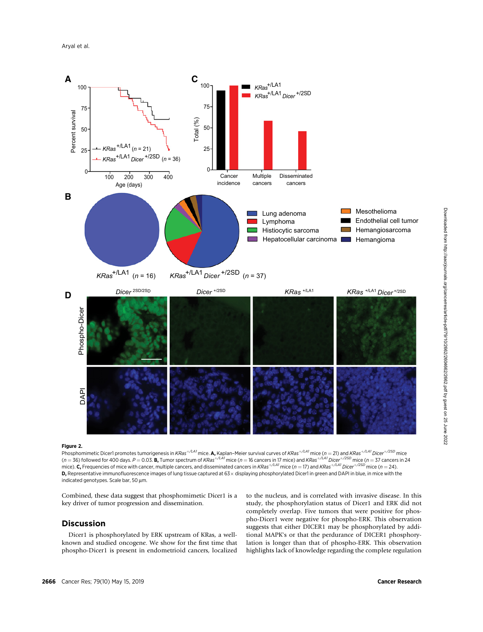

### Figure 2.

Phosphomimetic Dicer1 promotes tumorigenesis in KRas<sup>+/LA1</sup> mice. A, Kaplan–Meier survival curves of KRas<sup>+/LA1</sup> mice (n = 21) and KRas<sup>+/LA1</sup> Dicer<sup>+/2SD</sup> mice (n = 36) followed for 400 days. P = 0.03. **B,** Tumor spectrum of KRas<sup>+/LA1</sup> mice (n = 16 cancers in 17 mice) and KRas<sup>+/LA1</sup> Dicer<sup>+/2SD</sup> mice (n = 37 cancers in 24 mice). **C,** Frequencies of mice with cancer, multiple cancers, and disseminated cancers in KRas<sup>+/LA1</sup> mice ( $n = 17$ ) and KRas<sup>+/LA1</sup> Dicer<sup>+/2SD</sup> mice ( $n = 24$ ). D, Representative immunofluorescence images of lung tissue captured at 63 x displaying phosphorylated Dicer1 in green and DAPI in blue, in mice with the indicated genotypes. Scale bar, 50  $\mu$ m.

Combined, these data suggest that phosphomimetic Dicer1 is a key driver of tumor progression and dissemination.

# Discussion

Dicer1 is phosphorylated by ERK upstream of KRas, a wellknown and studied oncogene. We show for the first time that phospho-Dicer1 is present in endometrioid cancers, localized to the nucleus, and is correlated with invasive disease. In this study, the phosphorylation status of Dicer1 and ERK did not completely overlap. Five tumors that were positive for phospho-Dicer1 were negative for phospho-ERK. This observation suggests that either DICER1 may be phosphorylated by additional MAPK's or that the perdurance of DICER1 phosphorylation is longer than that of phospho-ERK. This observation highlights lack of knowledge regarding the complete regulation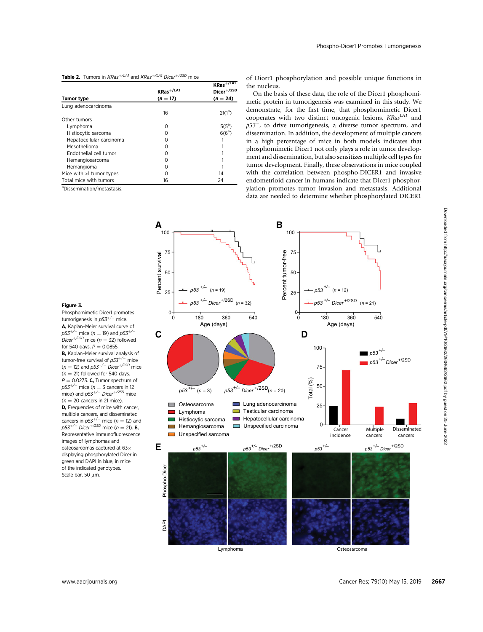### **Table 2.** Tumors in  $KRas^{+/LA1}$  and  $KRas^{+/LA1}$  Dicer $^{+/2SD}$  mice

|                            | $KRas^{+/LA1}$ | $KRas^{+/LAI}$<br>Dicer <sup>+/2SD</sup><br>$(n = 24)$ |  |
|----------------------------|----------------|--------------------------------------------------------|--|
| <b>Tumor type</b>          | $(n = 17)$     |                                                        |  |
| Lung adenocarcinoma        |                |                                                        |  |
|                            | 16             | $21(1^a)$                                              |  |
| Other tumors               |                |                                                        |  |
| Lymphoma                   | ∩              | $5(5^a)$                                               |  |
| Histiocytic sarcoma        |                | $6(6^a)$                                               |  |
| Hepatocellular carcinoma   | Ω              |                                                        |  |
| Mesothelioma               |                |                                                        |  |
| Endothelial cell tumor     | Ω              |                                                        |  |
| Hemangiosarcoma            |                |                                                        |  |
| Hemangioma                 | ∩              |                                                        |  |
| Mice with $>1$ tumor types | Ω              | 14                                                     |  |
| Total mice with tumors     | 16             | 24                                                     |  |

a Dissemination/metastasis.

Figure 3.

Phosphomimetic Dicer1 promotes<br>tumorigenesis in *p53<sup>+/-*-</sup> mice. A, Kaplan–Meier survival curve of  $p53^{+/}$  mice ( $n = 19$ ) and  $p53^{+/}$ <br>Dicer<sup>+/2SD</sup> mice ( $n = 32$ ) followed for 540 days.  $P = 0.0855$ . B, Kaplan-Meier survival analysis of tumor-free survival of  $p53^{+/-}$  mice  $(n = 12)$  and  $p53^{+/}$  Dicer<sup>+/2SD</sup> mice  $(n = 21)$  followed for 540 days.  $P = 0.0273$ . C. Tumor spectrum of  $p53^{+/-}$  mice ( $n = 3$  cancers in 12<br>mice) and  $p53^{+/-}$  Dicer<sup>+/2SD</sup> mice  $(n = 20$  cancers in 21 mice). **D.** Frequencies of mice with cancer. multiple cancers, and disseminated<br>cancers in  $p53^{+/-}$  mice ( $n = 12$ ) and  $p53^{+/-}$  Dicer $^{+/2SD}$  mice (n = 21). **E**, Representative immunofluorescence images of lymphomas and osteosarcomas captured at 63 displaying phosphorylated Dicer in green and DAPI in blue, in mice of the indicated genotypes. Scale bar, 50  $\mu$ m.

of Dicer1 phosphorylation and possible unique functions in the nucleus.

On the basis of these data, the role of the Dicer1 phosphomimetic protein in tumorigenesis was examined in this study. We demonstrate, for the first time, that phosphomimetic Dicer1 cooperates with two distinct oncogenic lesions,  $KRas^{LA1}$  and  $p53^-$ , to drive tumorigenesis, a diverse tumor spectrum, and dissemination. In addition, the development of multiple cancers in a high percentage of mice in both models indicates that phosphomimetic Dicer1 not only plays a role in tumor development and dissemination, but also sensitizes multiple cell types for tumor development. Finally, these observations in mice coupled with the correlation between phospho-DICER1 and invasive endometrioid cancer in humans indicate that Dicer1 phosphorylation promotes tumor invasion and metastasis. Additional data are needed to determine whether phosphorylated DICER1